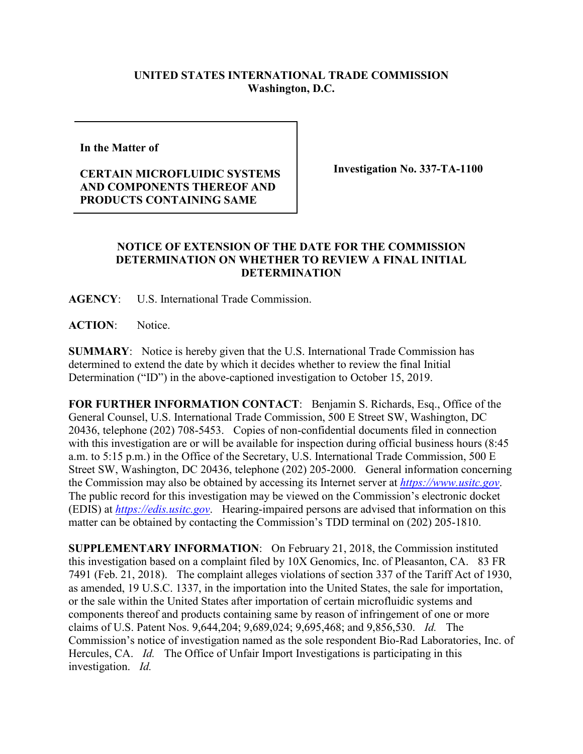## **UNITED STATES INTERNATIONAL TRADE COMMISSION Washington, D.C.**

**In the Matter of** 

## **CERTAIN MICROFLUIDIC SYSTEMS AND COMPONENTS THEREOF AND PRODUCTS CONTAINING SAME**

**Investigation No. 337-TA-1100**

## **NOTICE OF EXTENSION OF THE DATE FOR THE COMMISSION DETERMINATION ON WHETHER TO REVIEW A FINAL INITIAL DETERMINATION**

**AGENCY**: U.S. International Trade Commission.

**ACTION**: Notice.

**SUMMARY**: Notice is hereby given that the U.S. International Trade Commission has determined to extend the date by which it decides whether to review the final Initial Determination ("ID") in the above-captioned investigation to October 15, 2019.

**FOR FURTHER INFORMATION CONTACT**: Benjamin S. Richards, Esq., Office of the General Counsel, U.S. International Trade Commission, 500 E Street SW, Washington, DC 20436, telephone (202) 708-5453. Copies of non-confidential documents filed in connection with this investigation are or will be available for inspection during official business hours (8:45 a.m. to 5:15 p.m.) in the Office of the Secretary, U.S. International Trade Commission, 500 E Street SW, Washington, DC 20436, telephone (202) 205-2000. General information concerning the Commission may also be obtained by accessing its Internet server at *[https://www.usitc.gov](https://www.usitc.gov/)*. The public record for this investigation may be viewed on the Commission's electronic docket (EDIS) at *[https://edis.usitc.gov](https://edis.usitc.gov/)*. Hearing-impaired persons are advised that information on this matter can be obtained by contacting the Commission's TDD terminal on (202) 205-1810.

**SUPPLEMENTARY INFORMATION**: On February 21, 2018, the Commission instituted this investigation based on a complaint filed by 10X Genomics, Inc. of Pleasanton, CA. 83 FR 7491 (Feb. 21, 2018). The complaint alleges violations of section 337 of the Tariff Act of 1930, as amended, 19 U.S.C. 1337, in the importation into the United States, the sale for importation, or the sale within the United States after importation of certain microfluidic systems and components thereof and products containing same by reason of infringement of one or more claims of U.S. Patent Nos. 9,644,204; 9,689,024; 9,695,468; and 9,856,530. *Id.* The Commission's notice of investigation named as the sole respondent Bio-Rad Laboratories, Inc. of Hercules, CA. *Id.* The Office of Unfair Import Investigations is participating in this investigation. *Id.*